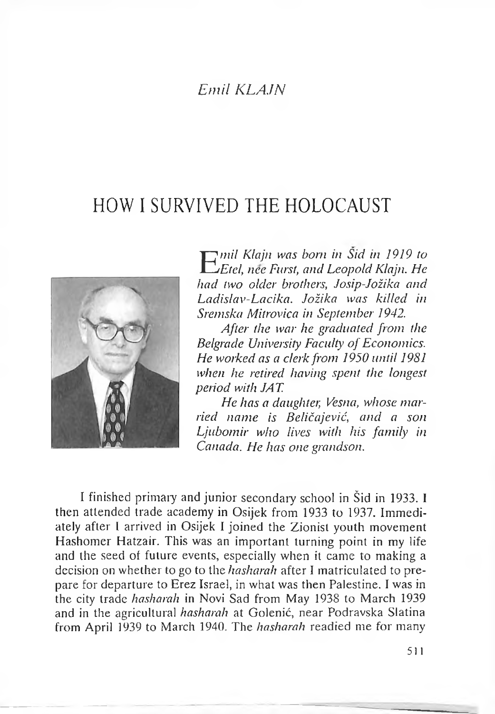## *Emil KLAJN*

## HOW I SURVIVED THE HOLOCAUST



E *mil Klajn was bom in Sid in 1919 to Etel, nee Furst, and Leopold Klajn. He had two older brothers, Josip-Jožika and Ladislav-Lacika. Jožika was killed in Sremska Mitrovica in September 1942.*

*After the war he graduated from the Belgrade University Faculty ofEconomics. He worked as a clerk from 1950 until 1981 when he retired having spent the longest period with JAT.*

*He has a daughter, Vesna, whose married name is Beličajević, and a son Ljubomir who lives with his family in Canada. He has one grandson.*

<sup>I</sup> finished primary and junior secondary school in Šid in 1933. <sup>I</sup> then attended trade academy in Osijek from 1933 to 1937. Immediately after <sup>I</sup> arrived in Osijek I joined the Zionist youth movement Hashomer Hatzair. This was an important turning point in my life and the seed of future events, especially when it came to making a decision on whether to go to the *hasharah* after I matriculated to prepare for departure to Erez Israel, in what was then Palestine. I was in the city trade *hasharah* in Novi Sad from May 1938 to March 1939 and in the agricultural *hasharah* at Golenić, near Podravska Slatina from April 1939 to March 1940. The *hasharah* readied me for many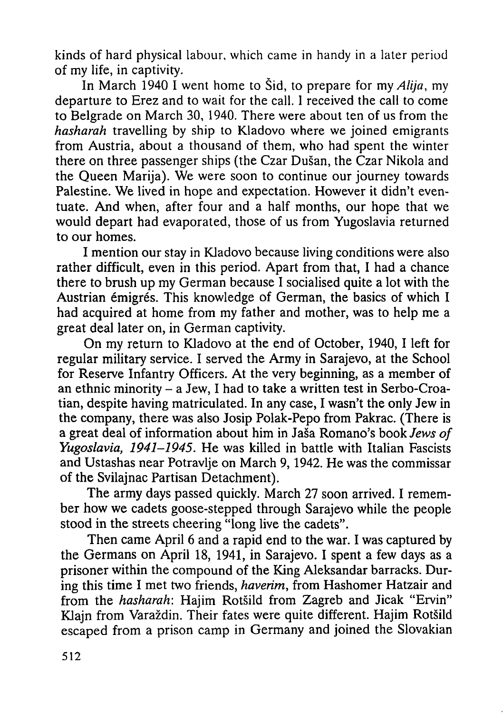kinds of hard physical labour, which came in handy in a later period of my life, in captivity.

In March 1940 I went home to Šid, to prepare for *my Alija,* my departure to Erez and to wait for the call. <sup>1</sup> received the call to come to Belgrade on March 30, 1940. There were about ten of us from the *hasharah* travelling by ship to Kladovo where we joined emigrants from Austria, about a thousand of them, who had spent the winter there on three passenger ships (the Czar Dušan, the Czar Nikola and the Queen Marija). We were soon to continue our journey towards Palestine. We lived in hope and expectation. However it didn't eventuate. And when, after four and a half months, our hope that we would depart had evaporated, those of us from Yugoslavia returned to our homes.

I mention our stay in Kladovo because living conditions were also rather difficult, even in this period. Apart from that, I had a chance there to brush up my German because I socialised quite a lot with the Austrian émigrés. This knowledge of German, the basics of which I had acquired at home from my father and mother, was to help me a great deal later on, in German captivity.

On my return to Kladovo at the end of October, 1940, I left for regular military service. I served the Army in Sarajevo, at the School for Reserve Infantry Officers. At the very beginning, as a member of an ethnic minority  $-$  a Jew, I had to take a written test in Serbo-Croatian, despite having matriculated. In any case, I wasn't the only Jew in the company, there was also Josip Polak-Pepo from Pakrac. (There is a great deal of information about him in Jaša Romano's book *Jews of Yugoslavia, 1941-1945.* He was killed in battle with Italian Fascists and Ustashas near Potravlje on March 9,1942. He was the commissar of the Svilajnac Partisan Detachment).

The army days passed quickly. March 27 soon arrived. I remember how we cadets goose-stepped through Sarajevo while the people stood in the streets cheering "long live the cadets".

Then came April 6 and a rapid end to the war. I was captured by the Germans on April 18, 1941, in Sarajevo. I spent a few days as a prisoner within the compound of the King Aleksandar barracks. During this time I met two friends, *haverim,* from Hashomer Hatzair and from the *hasharah*: Hajim Rotšild from Zagreb and Jicak "Ervin" Klajn from Varaždin. Their fates were quite different. Hajim Rotšild escaped from a prison camp in Germany and joined the Slovakian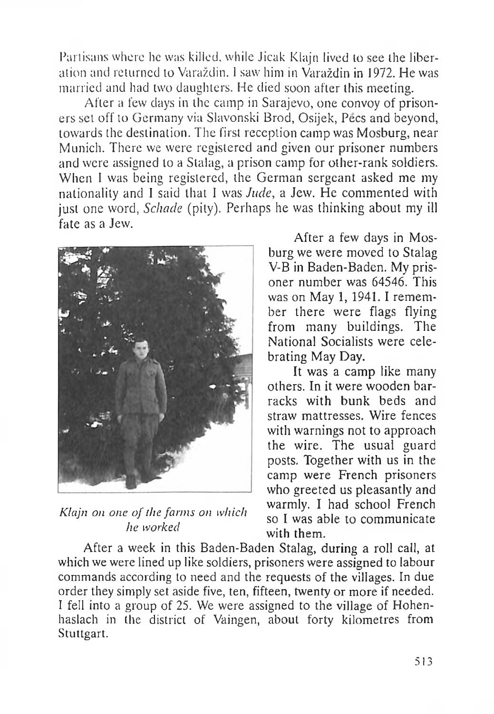Partisans where he was killed, while Jicak Klajn lived to see the liberation and returned to Varaždin. 1 saw him in Varaždin in 1972. He was married and had two daughters. He died soon after this meeting.

After a few days in the camp in Sarajevo, one convoy of prisoners set off to Germany via Slavonski Brod, Osijek, Pecs and beyond, towards the destination. The first reception camp was Mosburg, near Munich. There we were registered and given our prisoner numbers and were assigned to a Stalag, a prison camp for other-rank soldiers. When <sup>I</sup> was being registered, the German sergeant asked me my nationality and <sup>I</sup> said that <sup>I</sup> was *Jude,* a Jew. He commented with just one word, *Schade* (pity). Perhaps he was thinking about my ill fate as a Jew.



*Klajn on one of die farms on which he worked*

After a few days in Mosburg we were moved to Stalag V-B in Baden-Baden. My prisoner number was 64546. This was on May 1, 1941. I remember there were flags flying from many buildings. The National Socialists were celebrating May Day.

It was a camp like many others. In it were wooden barracks with bunk beds and straw mattresses. Wire fences with warnings not to approach the wire. The usual guard posts. Together with us in the camp were French prisoners who greeted us pleasantly and warmly. I had school French so <sup>I</sup> was able to communicate with them.

After a week in this Baden-Baden Stalag, during a roll call, at which we were lined up like soldiers, prisoners were assigned to labour commands according to need and the requests of the villages. In due order they simply set aside five, ten, fifteen, twenty or more if needed. I fell into a group of 25. We were assigned to the village of Hohenhaslach in the district of Vaingen, about forty kilometres from Stuttgart.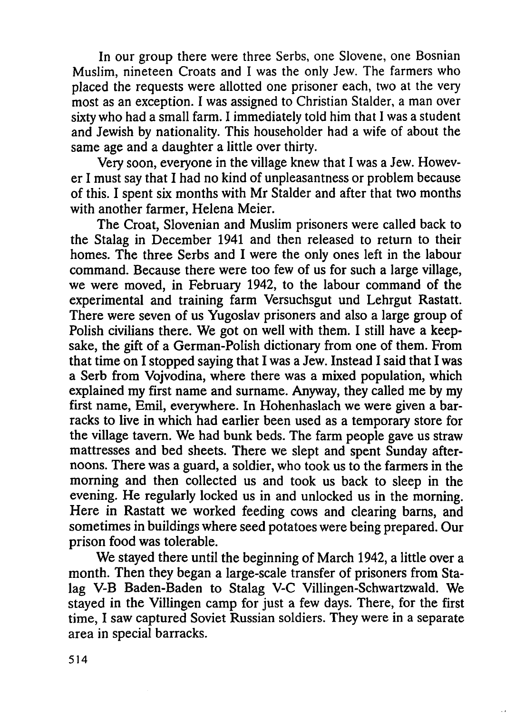In our group there were three Serbs, one Slovene, one Bosnian Muslim, nineteen Croats and I was the only Jew. The farmers who placed the requests were allotted one prisoner each, two at the very most as an exception. I was assigned to Christian Stalder, a man over sixty who had a small farm. I immediately told him that I was a student and Jewish by nationality. This householder had a wife of about the same age and a daughter a little over thirty.

Very soon, everyone in the village knew that I was a Jew. However I must say that I had no kind of unpleasantness or problem because of this. I spent six months with Mr Stalder and after that two months with another farmer, Helena Meier.

The Croat, Slovenian and Muslim prisoners were called back to the Stalag in December 1941 and then released to return to their homes. The three Serbs and I were the only ones left in the labour command. Because there were too few of us for such a large village, we were moved, in February 1942, to the labour command of the experimental and training farm Versuchsgut und Lehrgut Rastatt. There were seven of us Yugoslav prisoners and also a large group of Polish civilians there. We got on well with them. I still have a keepsake, the gift of a German-Polish dictionary from one of them. From that time on I stopped saying that I was a Jew. Instead I said that I was a Serb from Vojvodina, where there was a mixed population, which explained my first name and surname. Anyway, they called me by my first name, Emil, everywhere. In Hohenhaslach we were given a barracks to live in which had earlier been used as a temporary store for the village tavern. We had bunk beds. The farm people gave us straw mattresses and bed sheets. There we slept and spent Sunday afternoons. There was a guard, a soldier, who took us to the farmers in the morning and then collected us and took us back to sleep in the evening. He regularly locked us in and unlocked us in the morning. Here in Rastatt we worked feeding cows and clearing bams, and sometimes in buildings where seed potatoes were being prepared. Our prison food was tolerable.

We stayed there until the beginning of March 1942, a little over a month. Then they began a large-scale transfer of prisoners from Stalag V-B Baden-Baden to Stalag V-C Villingen-Schwartzwald. We stayed in the Villingen camp for just a few days. There, for the first time, I saw captured Soviet Russian soldiers. They were in a separate area in special barracks.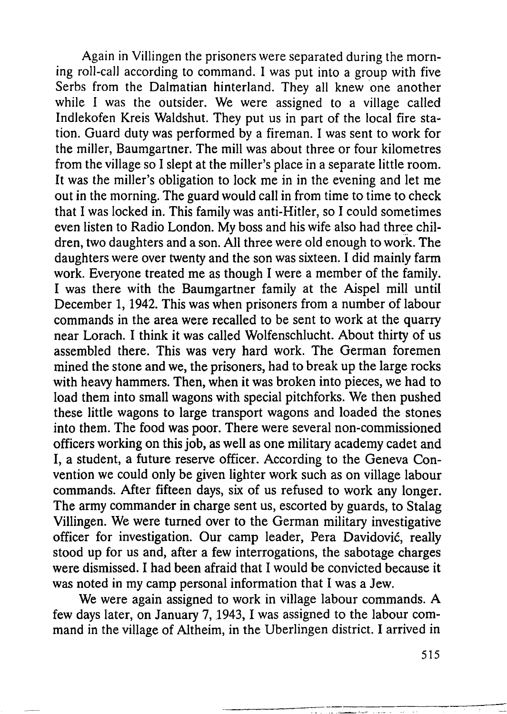Again in Villingen the prisoners were separated during the morning roll-call according to command. I was put into a group with five Serbs from the Dalmatian hinterland. They all knew one another while I was the outsider. We were assigned to a village called Indlekofen Kreis Waldshut. They put us in part of the local fire station. Guard duty was performed by a fireman. I was sent to work for the miller, Baumgartner. The mill was about three or four kilometres from the village so I slept at the miller's place in a separate little room. It was the miller's obligation to lock me in in the evening and let me out in the morning. The guard would call in from time to time to check that I was locked in. This family was anti-Hitler, so I could sometimes even listen to Radio London. My boss and his wife also had three children, two daughters and a son. All three were old enough to work. The daughters were over twenty and the son was sixteen. I did mainly farm work. Everyone treated me as though I were a member of the family. I was there with the Baumgartner family at the Aispel mill until December 1, 1942. This was when prisoners from a number of labour commands in the area were recalled to be sent to work at the quarry near Lorach. I think it was called Wolfenschlucht. About thirty of us assembled there. This was very hard work. The German foremen mined the stone and we, the prisoners, had to break up the large rocks with heavy hammers. Then, when it was broken into pieces, we had to load them into small wagons with special pitchforks. We then pushed these little wagons to large transport wagons and loaded the stones into them. The food was poor. There were several non-commissioned officers working on thisjob, as well as one military academy cadet and I, a student, a future reserve officer. According to the Geneva Convention we could only be given lighter work such as on village labour commands. After fifteen days, six of us refused to work any longer. The army commander in charge sent us, escorted by guards, to Stalag Villingen. We were turned over to the German military investigative officer for investigation. Our camp leader, Pera Davidović, really stood up for us and, after a few interrogations, the sabotage charges were dismissed. I had been afraid that I would be convicted because it was noted in my camp personal information that I was a Jew.

We were again assigned to work in village labour commands. A few days later, on January 7, 1943, I was assigned to the labour command in the village of Altheim, in the Uberlingen district. I arrived in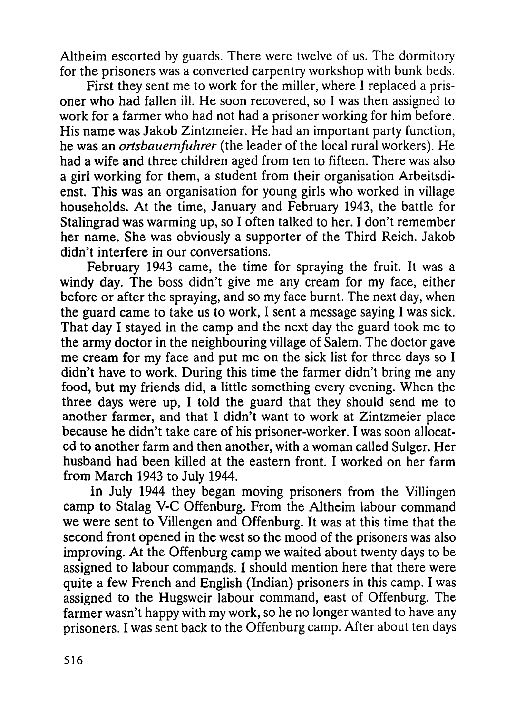Altheim escorted by guards. There were twelve of us. The dormitory for the prisoners was a converted carpentry workshop with bunk beds.

First they sent me to work for the miller, where I replaced a prisoner who had fallen ill. He soon recovered, so I was then assigned to work for a farmer who had not had a prisoner working for him before. His name was Jakob Zintzmeier. He had an important party function, he was an *ortsbauemfuhrer* (the leader of the local rural workers). He had a wife and three children aged from ten to fifteen. There was also a girl working for them, a student from their organisation Arbeitsdienst. This was an organisation for young girls who worked in village households. At the time, January and February 1943, the battle for Stalingrad was warming up, so I often talked to her. I don't remember her name. She was obviously a supporter of the Third Reich. Jakob didn't interfere in our conversations.

February 1943 came, the time for spraying the fruit. It was a windy day. The boss didn't give me any cream for my face, either before or after the spraying, and so my face burnt. The next day, when the guard came to take us to work, I sent a message saying I was sick. That day I stayed in the camp and the next day the guard took me to the army doctor in the neighbouring village of Salem. The doctor gave me cream for my face and put me on the sick list for three days so I didn't have to work. During this time the farmer didn't bring me any food, but my friends did, a little something every evening. When the three days were up, I told the guard that they should send me to another farmer, and that I didn't want to work at Zintzmeier place because he didn't take care of his prisoner-worker. I was soon allocated to another farm and then another, with a woman called Sulger. Her husband had been killed at the eastern front. I worked on her farm from March 1943 to July 1944.

In July 1944 they began moving prisoners from the Villingen camp to Stalag V-C Offenburg. From the Altheim labour command we were sent to Villengen and Offenburg. It was at this time that the second front opened in the west so the mood of the prisoners was also improving. At the Offenburg camp we waited about twenty days to be assigned to labour commands. I should mention here that there were quite a few French and English (Indian) prisoners in this camp. I was assigned to the Hugsweir labour command, east of Offenburg. The farmer wasn't happy with my work, so he no longer wanted to have any prisoners. I was sent back to the Offenburg camp. After about ten days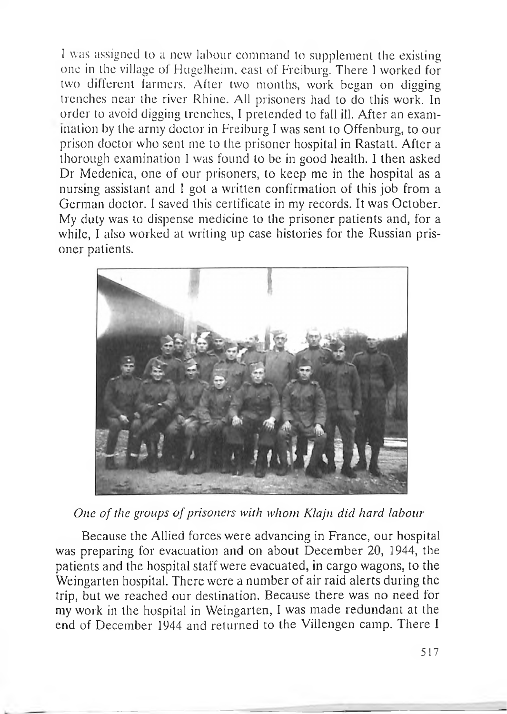<sup>1</sup> was assigned lo a new labour command to supplement the existing one in the village <sup>01</sup> Hugelheim, east of Freiburg. There <sup>I</sup> worked for two different farmers. After two months, work began on digging trenches near the river Rhine. All prisoners had to do this work. In order to avoid digging trenches, <sup>I</sup> pretended to fall ill. After an exam ination by the army doctor in Freiburg I was sent to Offenburg, to our prison doctor who sent me to the prisoner hospital in Rastatt. After a thorough examination <sup>I</sup> was found lo be in good health. I then asked Dr Medenica, one of our prisoners, lo keep me in the hospital as a nursing assistant and <sup>I</sup> got a written confirmation of this job from a German doctor. <sup>I</sup> saved this certificate in my records. It was October. My duty was to dispense medicine to the prisoner patients and, for a while, I also worked at writing up case histories for the Russian prisoner patients.



*One of the groups ofprisoners with whom Klajn did hard labour*

Because the Allied forces were advancing in France, our hospital was preparing for evacuation and on about December 20, 1944, the patients and the hospital staff were evacuated, in cargo wagons, to the Weingarten hospital. There were a number of air raid alerts during the trip, but we reached our destination. Because there was no need for my work in the hospital in Weingarten, <sup>I</sup> was made redundant at the end of December 1944 and returned to the Villengen camp. There <sup>I</sup>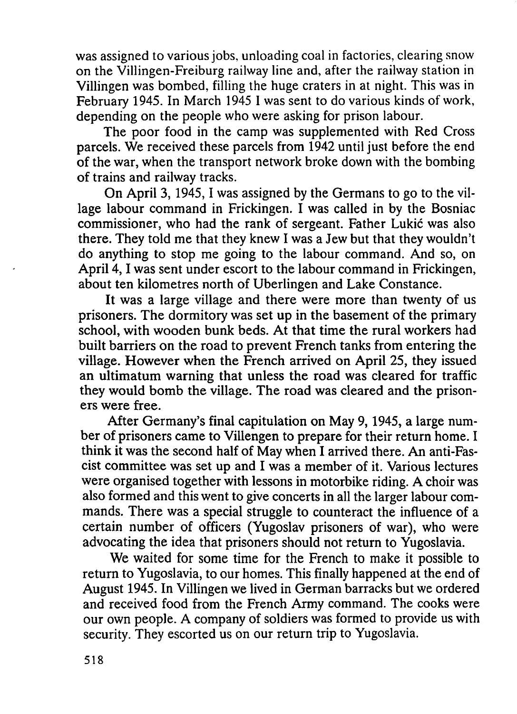was assigned to various jobs, unloading coal in factories, clearing snow on the Villingen-Freiburg railway line and, after the railway station in Villingen was bombed, filling the huge craters in at night. This was in February 1945. In March 1945 I was sent to do various kinds of work, depending on the people who were asking for prison labour.

The poor food in the camp was supplemented with Red Cross parcels. We received these parcels from 1942 until just before the end of the war, when the transport network broke down with the bombing of trains and railway tracks.

On April 3,1945,<sup>1</sup> was assigned by the Germans to go to the village labour command in Frickingen. I was called in by the Bosniac commissioner, who had the rank of sergeant. Father Lukić was also there. They told me that they knew I was a Jew but that they wouldn't do anything to stop me going to the labour command. And so, on April 4, I was sent under escort to the labour command in Frickingen, about ten kilometres north of Uberlingen and Lake Constance.

It was a large village and there were more than twenty of us prisoners. The dormitory was set up in the basement of the primary school, with wooden bunk beds. At that time the rural workers had built barriers on the road to prevent French tanks from entering the village. However when the French arrived on April 25, they issued an ultimatum warning that unless the road was cleared for traffic they would bomb the village. The road was cleared and the prisoners were free.

After Germany's final capitulation on May 9,1945, a large number of prisoners came to Villengen to prepare for their return home. I think it was the second half of May when I arrived there. An anti-Fascist committee was set up and I was a member of it. Various lectures were organised together with lessons in motorbike riding. A choir was also formed and this went to give concerts in all the larger labour commands. There was a special struggle to counteract the influence of a certain number of officers (Yugoslav prisoners of war), who were advocating the idea that prisoners should not return to Yugoslavia.

We waited for some time for the French to make it possible to return to Yugoslavia, to our homes. This finally happened at the end of August 1945. In Villingen we lived in German barracks but we ordered and received food from the French Army command. The cooks were our own people. A company of soldiers was formed to provide us with security. They escorted us on our return trip to Yugoslavia.